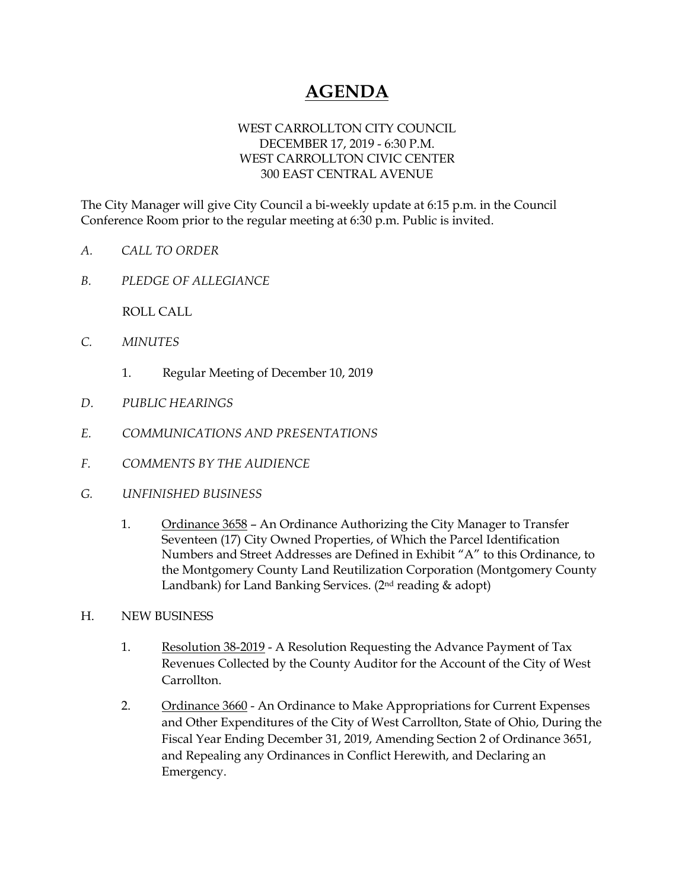## **AGENDA**

## WEST CARROLLTON CITY COUNCIL DECEMBER 17, 2019 - 6:30 P.M. WEST CARROLLTON CIVIC CENTER 300 EAST CENTRAL AVENUE

The City Manager will give City Council a bi-weekly update at 6:15 p.m. in the Council Conference Room prior to the regular meeting at 6:30 p.m. Public is invited.

- *A. CALL TO ORDER*
- *B. PLEDGE OF ALLEGIANCE*

ROLL CALL

- *C. MINUTES* 
	- 1. Regular Meeting of December 10, 2019
- *D. PUBLIC HEARINGS*
- *E. COMMUNICATIONS AND PRESENTATIONS*
- *F. COMMENTS BY THE AUDIENCE*
- *G. UNFINISHED BUSINESS* 
	- 1. Ordinance 3658 An Ordinance Authorizing the City Manager to Transfer Seventeen (17) City Owned Properties, of Which the Parcel Identification Numbers and Street Addresses are Defined in Exhibit "A" to this Ordinance, to the Montgomery County Land Reutilization Corporation (Montgomery County Landbank) for Land Banking Services. (2nd reading & adopt)
- H. NEW BUSINESS
	- 1. Resolution 38-2019 A Resolution Requesting the Advance Payment of Tax Revenues Collected by the County Auditor for the Account of the City of West Carrollton.
	- 2. Ordinance 3660 An Ordinance to Make Appropriations for Current Expenses and Other Expenditures of the City of West Carrollton, State of Ohio, During the Fiscal Year Ending December 31, 2019, Amending Section 2 of Ordinance 3651, and Repealing any Ordinances in Conflict Herewith, and Declaring an Emergency.